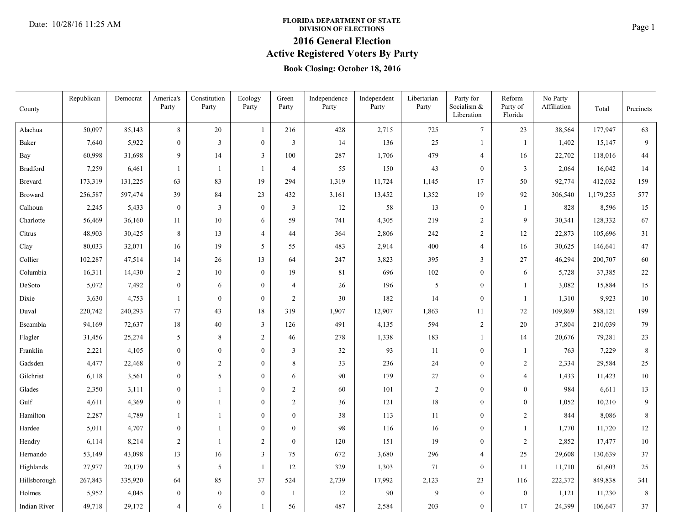# **FLORIDA DEPARTMENT OF STATE**<br>DIVISION OF ELECTIONS **Page 1**

### **2016 General Election**

**Active Registered Voters By Party**

### **Book Closing: October 18, 2016**

|                 | Republican | Democrat | America's        | Constitution   | Ecology          | Green            | Independence | Independent | Libertarian    | Party for                 | Reform              | No Party    |           |             |
|-----------------|------------|----------|------------------|----------------|------------------|------------------|--------------|-------------|----------------|---------------------------|---------------------|-------------|-----------|-------------|
| County          |            |          | Party            | Party          | Party            | Party            | Party        | Party       | Party          | Socialism &<br>Liberation | Party of<br>Florida | Affiliation | Total     | Precincts   |
| Alachua         | 50,097     | 85,143   | 8                | 20             | $\mathbf{1}$     | 216              | 428          | 2,715       | 725            | $\tau$                    | 23                  | 38,564      | 177,947   | 63          |
| Baker           | 7,640      | 5,922    | $\overline{0}$   | 3              | $\boldsymbol{0}$ | 3                | 14           | 136         | 25             | 1                         | 1                   | 1,402       | 15,147    | 9           |
| Bay             | 60,998     | 31,698   | 9                | 14             | $\mathfrak{Z}$   | 100              | 287          | 1,706       | 479            | 4                         | 16                  | 22,702      | 118,016   | 44          |
| <b>Bradford</b> | 7,259      | 6,461    | $\mathbf{1}$     | $\mathbf{1}$   | $\mathbf{1}$     | $\overline{4}$   | 55           | 150         | 43             | $\overline{0}$            | 3                   | 2,064       | 16,042    | 14          |
| <b>Brevard</b>  | 173,319    | 131,225  | 63               | 83             | 19               | 294              | 1,319        | 11,724      | 1,145          | 17                        | 50                  | 92,774      | 412,032   | 159         |
| <b>Broward</b>  | 256,587    | 597,474  | 39               | 84             | 23               | 432              | 3,161        | 13,452      | 1,352          | 19                        | 92                  | 306,540     | 1,179,255 | 577         |
| Calhoun         | 2,245      | 5,433    | $\boldsymbol{0}$ | 3              | $\boldsymbol{0}$ | $\mathbf{3}$     | 12           | 58          | 13             | $\boldsymbol{0}$          | 1                   | 828         | 8,596     | 15          |
| Charlotte       | 56,469     | 36,160   | 11               | 10             | 6                | 59               | 741          | 4,305       | 219            | $\overline{c}$            | 9                   | 30,341      | 128,332   | 67          |
| Citrus          | 48,903     | 30,425   | $\,8\,$          | 13             | $\overline{4}$   | 44               | 364          | 2,806       | 242            | $\mathbf{2}$              | 12                  | 22,873      | 105,696   | 31          |
| Clay            | 80,033     | 32,071   | 16               | 19             | 5                | 55               | 483          | 2,914       | 400            | 4                         | 16                  | 30,625      | 146,641   | 47          |
| Collier         | 102,287    | 47,514   | 14               | 26             | 13               | 64               | 247          | 3,823       | 395            | $\mathfrak{Z}$            | 27                  | 46,294      | 200,707   | 60          |
| Columbia        | 16,311     | 14,430   | $\mathbf{2}$     | 10             | $\boldsymbol{0}$ | 19               | 81           | 696         | 102            | $\boldsymbol{0}$          | 6                   | 5,728       | 37,385    | $22\,$      |
| DeSoto          | 5,072      | 7,492    | $\boldsymbol{0}$ | 6              | $\boldsymbol{0}$ | $\overline{4}$   | 26           | 196         | 5              | $\boldsymbol{0}$          | 1                   | 3,082       | 15,884    | 15          |
| Dixie           | 3,630      | 4,753    | 1                | $\mathbf{0}$   | $\boldsymbol{0}$ | $\overline{c}$   | 30           | 182         | 14             | $\boldsymbol{0}$          | 1                   | 1,310       | 9,923     | $10\,$      |
| Duval           | 220,742    | 240,293  | 77               | 43             | 18               | 319              | 1,907        | 12,907      | 1,863          | 11                        | 72                  | 109,869     | 588,121   | 199         |
| Escambia        | 94,169     | 72,637   | $18\,$           | 40             | $\mathfrak{Z}$   | 126              | 491          | 4,135       | 594            | $\sqrt{2}$                | 20                  | 37,804      | 210,039   | 79          |
| Flagler         | 31,456     | 25,274   | 5                | 8              | $\sqrt{2}$       | 46               | 278          | 1,338       | 183            | 1                         | 14                  | 20,676      | 79,281    | 23          |
| Franklin        | 2,221      | 4,105    | $\boldsymbol{0}$ | $\theta$       | $\boldsymbol{0}$ | 3                | 32           | 93          | 11             | $\bf{0}$                  | -1                  | 763         | 7,229     | $\,8\,$     |
| Gadsden         | 4,477      | 22,468   | $\boldsymbol{0}$ | $\overline{2}$ | $\boldsymbol{0}$ | 8                | 33           | 236         | 24             | $\boldsymbol{0}$          | $\overline{2}$      | 2,334       | 29,584    | 25          |
| Gilchrist       | 6,118      | 3,561    | $\boldsymbol{0}$ | 5              | $\mathbf{0}$     | 6                | 90           | 179         | $27\,$         | $\boldsymbol{0}$          | $\overline{4}$      | 1,433       | 11,423    | $10\,$      |
| Glades          | 2,350      | 3,111    | $\boldsymbol{0}$ | -1             | $\boldsymbol{0}$ | $\overline{c}$   | 60           | 101         | $\overline{2}$ | $\boldsymbol{0}$          | $\boldsymbol{0}$    | 984         | 6,611     | 13          |
| Gulf            | 4,611      | 4,369    | $\overline{0}$   |                | $\mathbf{0}$     | $\overline{c}$   | 36           | 121         | 18             | $\boldsymbol{0}$          | $\boldsymbol{0}$    | 1,052       | 10,210    | 9           |
| Hamilton        | 2,287      | 4,789    | $\mathbf{1}$     | $\mathbf{1}$   | $\boldsymbol{0}$ | $\boldsymbol{0}$ | 38           | 113         | 11             | $\boldsymbol{0}$          | $\overline{2}$      | 844         | 8,086     | $\,$ 8 $\,$ |
| Hardee          | 5,011      | 4,707    | $\boldsymbol{0}$ | -1             | $\boldsymbol{0}$ | $\boldsymbol{0}$ | 98           | 116         | 16             | $\boldsymbol{0}$          | -1                  | 1,770       | 11,720    | 12          |
| Hendry          | 6,114      | 8,214    | $\overline{c}$   |                | $\overline{2}$   | $\boldsymbol{0}$ | 120          | 151         | 19             | $\overline{0}$            | $\overline{2}$      | 2,852       | 17,477    | 10          |
| Hernando        | 53,149     | 43,098   | 13               | 16             | 3                | 75               | 672          | 3,680       | 296            | 4                         | 25                  | 29,608      | 130,639   | 37          |
| Highlands       | 27,977     | 20,179   | 5                | 5              | $\mathbf{1}$     | 12               | 329          | 1,303       | 71             | $\boldsymbol{0}$          | 11                  | 11,710      | 61,603    | 25          |
| Hillsborough    | 267,843    | 335,920  | 64               | 85             | 37               | 524              | 2,739        | 17,992      | 2,123          | 23                        | 116                 | 222,372     | 849,838   | 341         |
| Holmes          | 5,952      | 4,045    | $\boldsymbol{0}$ | $\mathbf{0}$   | $\boldsymbol{0}$ | -1               | 12           | 90          | 9              | $\boldsymbol{0}$          | $\boldsymbol{0}$    | 1,121       | 11,230    | $\,8\,$     |
| Indian River    | 49,718     | 29,172   | $\overline{4}$   | 6              | $\mathbf{1}$     | 56               | 487          | 2,584       | 203            | $\overline{0}$            | 17                  | 24,399      | 106,647   | 37          |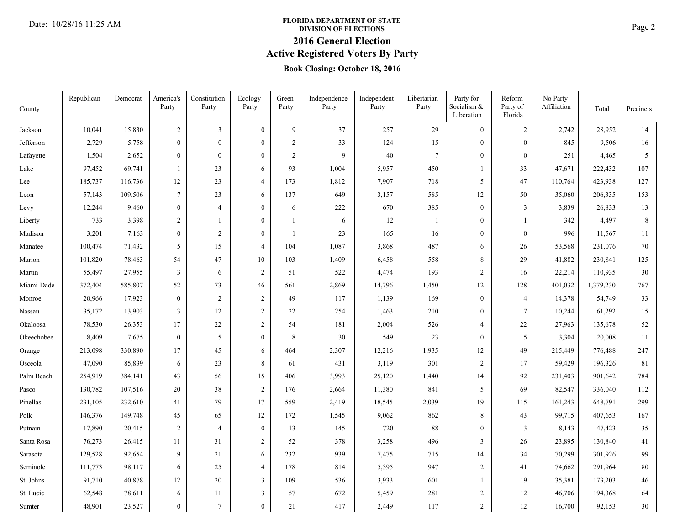# **FLORIDA DEPARTMENT OF STATE**<br>DIVISION OF ELECTIONS **Page 2**

### **2016 General Election**

**Active Registered Voters By Party**

### **Book Closing: October 18, 2016**

| County     | Republican | Democrat | America's<br>Party | Constitution<br>Party | Ecology<br>Party | Green<br>Party | Independence<br>Party | Independent<br>Party | Libertarian<br>Party | Party for<br>Socialism &<br>Liberation | Reform<br>Party of<br>Florida | No Party<br>Affiliation | Total     | Precincts |
|------------|------------|----------|--------------------|-----------------------|------------------|----------------|-----------------------|----------------------|----------------------|----------------------------------------|-------------------------------|-------------------------|-----------|-----------|
| Jackson    | 10,041     | 15,830   | $\boldsymbol{2}$   | 3                     | $\theta$         | 9              | 37                    | 257                  | 29                   | $\overline{0}$                         | $\overline{2}$                | 2,742                   | 28,952    | 14        |
| Jefferson  | 2,729      | 5,758    | $\overline{0}$     | $\Omega$              | $\mathbf{0}$     | $\overline{2}$ | 33                    | 124                  | 15                   | $\overline{0}$                         | $\mathbf{0}$                  | 845                     | 9,506     | 16        |
| Lafayette  | 1,504      | 2,652    | $\overline{0}$     | $\Omega$              | $\mathbf{0}$     | $\overline{2}$ | 9                     | 40                   | $\tau$               | $\mathbf{0}$                           | $\mathbf{0}$                  | 251                     | 4,465     | 5         |
| Lake       | 97,452     | 69,741   | 1                  | 23                    | 6                | 93             | 1,004                 | 5,957                | 450                  | $\mathbf{1}$                           | 33                            | 47,671                  | 222,432   | 107       |
| Lee        | 185,737    | 116,736  | 12                 | 23                    | $\overline{4}$   | 173            | 1,812                 | 7,907                | 718                  | 5                                      | 47                            | 110,764                 | 423,938   | 127       |
| Leon       | 57,143     | 109,506  | $\tau$             | 23                    | 6                | 137            | 649                   | 3,157                | 585                  | 12                                     | 50                            | 35,060                  | 206,335   | 153       |
| Levy       | 12,244     | 9,460    | $\boldsymbol{0}$   | $\overline{4}$        | $\mathbf{0}$     | 6              | 222                   | 670                  | 385                  | $\mathbf{0}$                           | $\mathfrak{Z}$                | 3,839                   | 26,833    | 13        |
| Liberty    | 733        | 3,398    | $\mathfrak{2}$     | $\mathbf{1}$          | $\mathbf{0}$     | $\mathbf{1}$   | 6                     | 12                   | $\mathbf{1}$         | $\overline{0}$                         | $\mathbf{1}$                  | 342                     | 4,497     | $\,8\,$   |
| Madison    | 3,201      | 7,163    | $\mathbf{0}$       | $\overline{c}$        | $\mathbf{0}$     | $\mathbf{1}$   | 23                    | 165                  | 16                   | $\theta$                               | $\theta$                      | 996                     | 11,567    | 11        |
| Manatee    | 100,474    | 71,432   | 5                  | 15                    | $\overline{4}$   | 104            | 1,087                 | 3,868                | 487                  | 6                                      | 26                            | 53,568                  | 231,076   | 70        |
| Marion     | 101,820    | 78,463   | 54                 | 47                    | 10               | 103            | 1,409                 | 6,458                | 558                  | 8                                      | 29                            | 41,882                  | 230,841   | 125       |
| Martin     | 55,497     | 27,955   | 3                  | 6                     | $\sqrt{2}$       | 51             | 522                   | 4,474                | 193                  | $\overline{c}$                         | 16                            | 22,214                  | 110,935   | 30        |
| Miami-Dade | 372,404    | 585,807  | 52                 | 73                    | 46               | 561            | 2,869                 | 14,796               | 1,450                | 12                                     | 128                           | 401,032                 | 1,379,230 | 767       |
| Monroe     | 20,966     | 17,923   | $\boldsymbol{0}$   | $\mathfrak{D}$        | $\sqrt{2}$       | 49             | 117                   | 1,139                | 169                  | $\boldsymbol{0}$                       | $\overline{4}$                | 14,378                  | 54,749    | 33        |
| Nassau     | 35,172     | 13,903   | 3                  | 12                    | $\mathfrak{2}$   | 22             | 254                   | 1,463                | 210                  | $\boldsymbol{0}$                       | $7\phantom{.0}$               | 10,244                  | 61,292    | 15        |
| Okaloosa   | 78,530     | 26,353   | 17                 | 22                    | $\sqrt{2}$       | 54             | 181                   | 2,004                | 526                  | $\overline{4}$                         | 22                            | 27,963                  | 135,678   | 52        |
| Okeechobee | 8,409      | 7,675    | $\boldsymbol{0}$   | 5                     | $\boldsymbol{0}$ | 8              | 30                    | 549                  | 23                   | $\boldsymbol{0}$                       | 5                             | 3,304                   | 20,008    | 11        |
| Orange     | 213,098    | 330,890  | 17                 | 45                    | 6                | 464            | 2,307                 | 12,216               | 1,935                | 12                                     | 49                            | 215,449                 | 776,488   | 247       |
| Osceola    | 47,090     | 85,839   | 6                  | 23                    | $\,8\,$          | 61             | 431                   | 3,119                | 301                  | $\mathbf{2}$                           | 17                            | 59,429                  | 196,326   | 81        |
| Palm Beach | 254,919    | 384,141  | 43                 | 56                    | 15               | 406            | 3,993                 | 25,120               | 1,440                | 14                                     | 92                            | 231,403                 | 901,642   | 784       |
| Pasco      | 130,782    | 107,516  | $20\,$             | 38                    | $\sqrt{2}$       | 176            | 2,664                 | 11,380               | 841                  | 5                                      | 69                            | 82,547                  | 336,040   | 112       |
| Pinellas   | 231,105    | 232,610  | 41                 | 79                    | 17               | 559            | 2,419                 | 18,545               | 2,039                | 19                                     | 115                           | 161,243                 | 648,791   | 299       |
| Polk       | 146,376    | 149,748  | 45                 | 65                    | 12               | 172            | 1,545                 | 9,062                | 862                  | 8                                      | 43                            | 99,715                  | 407,653   | 167       |
| Putnam     | 17,890     | 20,415   | $\sqrt{2}$         | $\overline{4}$        | $\boldsymbol{0}$ | 13             | 145                   | 720                  | $\bf 88$             | $\boldsymbol{0}$                       | 3                             | 8,143                   | 47,423    | 35        |
| Santa Rosa | 76,273     | 26,415   | 11                 | 31                    | $\overline{2}$   | 52             | 378                   | 3,258                | 496                  | 3                                      | 26                            | 23,895                  | 130,840   | 41        |
| Sarasota   | 129,528    | 92,654   | 9                  | 21                    | 6                | 232            | 939                   | 7,475                | 715                  | 14                                     | 34                            | 70,299                  | 301,926   | 99        |
| Seminole   | 111,773    | 98,117   | 6                  | 25                    | $\overline{4}$   | 178            | 814                   | 5,395                | 947                  | $\overline{c}$                         | 41                            | 74,662                  | 291,964   | $80\,$    |
| St. Johns  | 91,710     | 40,878   | 12                 | 20                    | $\overline{3}$   | 109            | 536                   | 3,933                | 601                  | 1                                      | 19                            | 35,381                  | 173,203   | $46\,$    |
| St. Lucie  | 62,548     | 78,611   | 6                  | 11                    | $\mathfrak{Z}$   | 57             | 672                   | 5,459                | 281                  | $\mathbf{2}$                           | 12                            | 46,706                  | 194,368   | 64        |
| Sumter     | 48,901     | 23,527   | $\overline{0}$     | $\tau$                | $\mathbf{0}$     | 21             | 417                   | 2,449                | 117                  | $\overline{c}$                         | 12                            | 16,700                  | 92,153    | 30        |